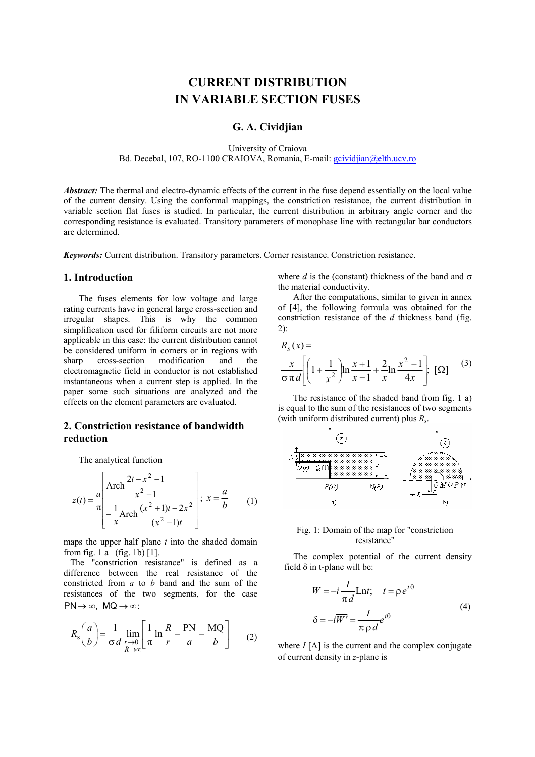# **CURRENT DISTRIBUTION IN VARIABLE SECTION FUSES**

## **G. A. Cividjian**

University of Craiova Bd. Decebal, 107, RO-1100 CRAIOVA, Romania, E-mail: gcividjian@elth.ucv.ro

*Abstract:* The thermal and electro-dynamic effects of the current in the fuse depend essentially on the local value of the current density. Using the conformal mappings, the constriction resistance, the current distribution in variable section flat fuses is studied. In particular, the current distribution in arbitrary angle corner and the corresponding resistance is evaluated. Transitory parameters of monophase line with rectangular bar conductors are determined.

*Keywords:* Current distribution. Transitory parameters. Corner resistance. Constriction resistance.

## **1. Introduction**

The fuses elements for low voltage and large rating currents have in general large cross-section and irregular shapes. This is why the common simplification used for filiform circuits are not more applicable in this case: the current distribution cannot be considered uniform in corners or in regions with sharp cross-section modification and the electromagnetic field in conductor is not established instantaneous when a current step is applied. In the paper some such situations are analyzed and the effects on the element parameters are evaluated.

# **2. Constriction resistance of bandwidth reduction**

The analytical function

$$
z(t) = \frac{a}{\pi} \left[ \frac{\text{Arch}}{x^2 - 1} \frac{\frac{2t - x^2 - 1}{x^2 - 1}}{-\frac{1}{x} \text{Arch}} \frac{(x^2 + 1)t - 2x^2}{(x^2 - 1)t} \right]; \ x = \frac{a}{b} \qquad (1)
$$

maps the upper half plane *t* into the shaded domain from fig. 1 a (fig. 1b) [1].

 The "constriction resistance" is defined as a difference between the real resistance of the constricted from *a* to *b* band and the sum of the resistances of the two segments, for the case  $\overline{PN} \rightarrow \infty$ ,  $\overline{MQ} \rightarrow \infty$ ;

$$
R_{\rm s}\left(\frac{a}{b}\right) = \frac{1}{\sigma d} \lim_{\substack{r \to 0 \\ R \to \infty}} \left[ \frac{1}{\pi} \ln \frac{R}{r} - \frac{\overline{\text{PN}}}{a} - \frac{\overline{\text{MQ}}}{b} \right] \tag{2}
$$

where  $d$  is the (constant) thickness of the band and  $\sigma$ the material conductivity.

After the computations, similar to given in annex of [4], the following formula was obtained for the constriction resistance of the *d* thickness band (fig. 2):

 $R_s(x) =$ 

$$
\frac{x}{\sigma \pi d} \left[ \left( 1 + \frac{1}{x^2} \right) \ln \frac{x+1}{x-1} + \frac{2}{x} \ln \frac{x^2 - 1}{4x} \right]; \quad [\Omega] \tag{3}
$$

 The resistance of the shaded band from fig. 1 a) is equal to the sum of the resistances of two segments (with uniform distributed current) plus *R*<sup>s</sup> .



### Fig. 1: Domain of the map for "constriction resistance"

The complex potential of the current density field  $\delta$  in t-plane will be:

$$
W = -i\frac{I}{\pi d} \text{Ln}t; \quad t = \rho e^{i\theta}
$$
  

$$
\delta = -i\overline{W'} = \frac{I}{\pi \rho d} e^{i\theta}
$$
 (4)

where *I* [A] is the current and the complex conjugate of current density in *z*-plane is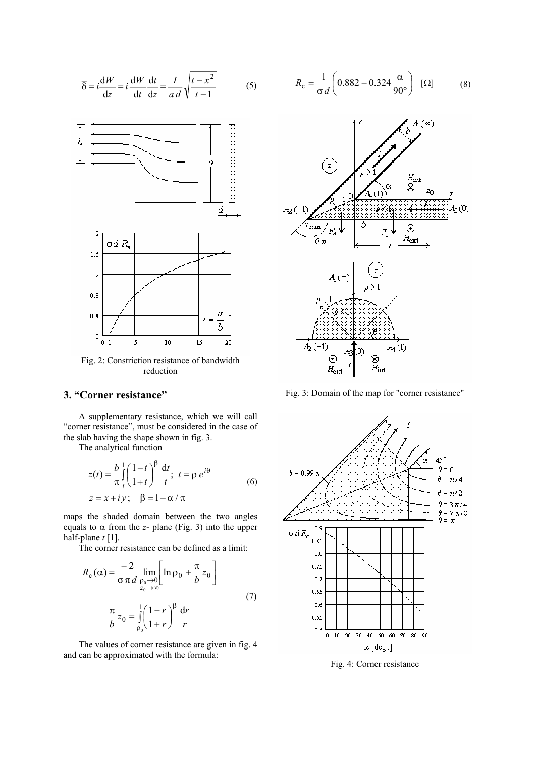$$
\overline{\delta} = i \frac{dW}{dz} = i \frac{dW}{dt} \frac{dt}{dz} = \frac{I}{ad} \sqrt{\frac{t - x^2}{t - 1}}
$$
(5)



Fig. 2: Constriction resistance of bandwidth reduction

## **3. "Corner resistance"**

A supplementary resistance, which we will call "corner resistance", must be considered in the case of the slab having the shape shown in fig. 3.

The analytical function

$$
z(t) = \frac{b}{\pi} \int_{t}^{1} \left(\frac{1-t}{1+t}\right)^{\beta} \frac{dt}{t}; \ t = \rho e^{i\theta}
$$
  

$$
z = x + iy; \ \beta = 1 - \alpha/\pi
$$
 (6)

maps the shaded domain between the two angles equals to  $\alpha$  from the *z*- plane (Fig. 3) into the upper half-plane *t* [1].

The corner resistance can be defined as a limit:

$$
R_{c}(\alpha) = \frac{-2}{\sigma \pi d} \lim_{\substack{p_{0} \to 0 \\ z_{0} \to \infty}} \left[ \ln \rho_{0} + \frac{\pi}{b} z_{0} \right]
$$
  

$$
\frac{\pi}{b} z_{0} = \int_{\rho_{0}}^{1} \left( \frac{1 - r}{1 + r} \right)^{\beta} \frac{dr}{r}
$$
 (7)

The values of corner resistance are given in fig. 4 and can be approximated with the formula:

$$
R_{\rm c} = \frac{1}{\sigma d} \left( 0.882 - 0.324 \frac{\alpha}{90^{\circ}} \right) \quad [\Omega] \tag{8}
$$



Fig. 3: Domain of the map for "corner resistance"



Fig. 4: Corner resistance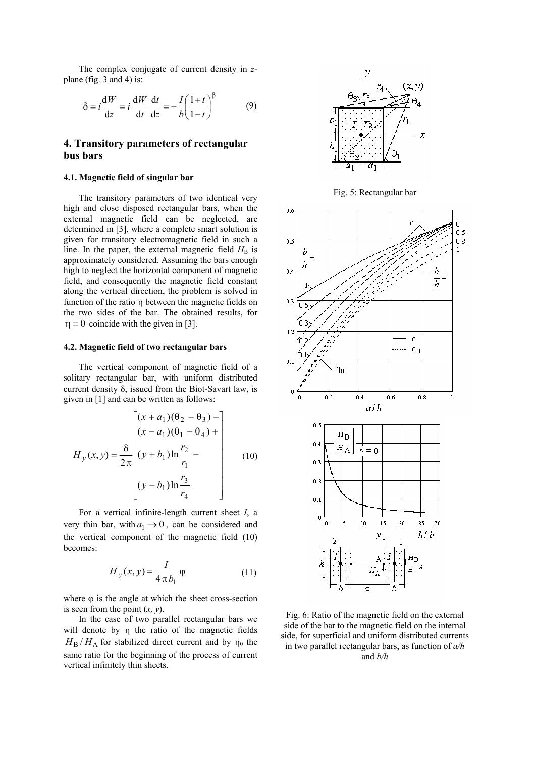The complex conjugate of current density in *z*plane (fig. 3 and 4) is:

$$
\overline{\delta} = i \frac{dW}{dz} = i \frac{dW}{dt} \frac{dt}{dz} = -\frac{I}{b} \left( \frac{1+t}{1-t} \right)^{\beta} \tag{9}
$$

## **4. Transitory parameters of rectangular bus bars**

#### **4.1. Magnetic field of singular bar**

 The transitory parameters of two identical very high and close disposed rectangular bars, when the external magnetic field can be neglected, are determined in [3], where a complete smart solution is given for transitory electromagnetic field in such a line. In the paper, the external magnetic field  $H_B$  is approximately considered. Assuming the bars enough high to neglect the horizontal component of magnetic field, and consequently the magnetic field constant along the vertical direction, the problem is solved in function of the ratio η between the magnetic fields on the two sides of the bar. The obtained results, for  $\eta = 0$  coincide with the given in [3].

#### **4.2. Magnetic field of two rectangular bars**

The vertical component of magnetic field of a solitary rectangular bar, with uniform distributed current density  $\delta$ , issued from the Biot-Savart law, is given in [1] and can be written as follows:

$$
H_y(x,y) = \frac{\delta}{2\pi} \begin{bmatrix} (x+a_1)(\theta_2 - \theta_3) - \\ (x-a_1)(\theta_1 - \theta_4) + \\ (y+b_1)\ln\frac{r_2}{r_1} - \\ (y-b_1)\ln\frac{r_3}{r_4} \end{bmatrix}
$$
 (10)

For a vertical infinite-length current sheet *I*, a very thin bar, with  $a_1 \rightarrow 0$ , can be considered and the vertical component of the magnetic field (10) becomes:

$$
H_y(x, y) = \frac{I}{4 \pi b_1} \varphi
$$
 (11)

where  $\varphi$  is the angle at which the sheet cross-section is seen from the point (*x, y*).

In the case of two parallel rectangular bars we will denote by η the ratio of the magnetic fields  $H_B/H_A$  for stabilized direct current and by  $\eta_0$  the same ratio for the beginning of the process of current vertical infinitely thin sheets.



Fig. 5: Rectangular bar



Fig. 6: Ratio of the magnetic field on the external side of the bar to the magnetic field on the internal side, for superficial and uniform distributed currents in two parallel rectangular bars, as function of *a/h*

## and *b/h*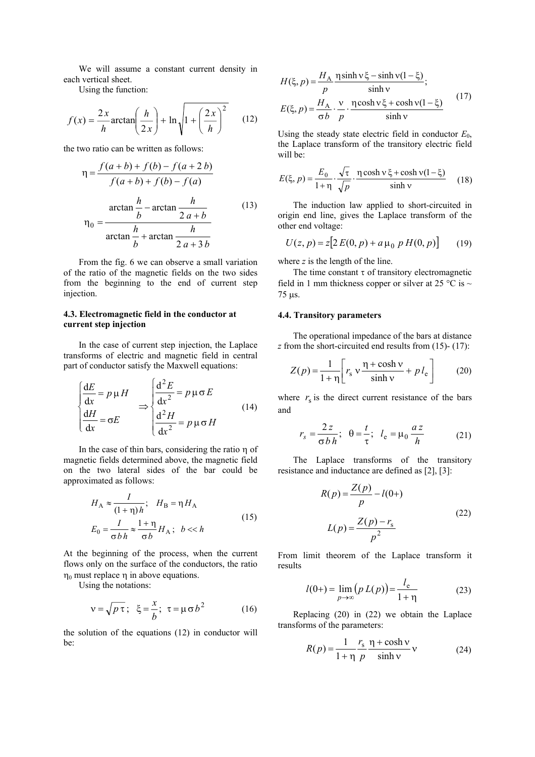We will assume a constant current density in each vertical sheet.

Using the function:

$$
f(x) = \frac{2x}{h} \arctan\left(\frac{h}{2x}\right) + \ln\sqrt{1 + \left(\frac{2x}{h}\right)^2} \qquad (12)
$$

the two ratio can be written as follows:

$$
\eta = \frac{f(a+b) + f(b) - f(a+2b)}{f(a+b) + f(b) - f(a)}
$$
  

$$
\eta_0 = \frac{\arctan\frac{h}{b} - \arctan\frac{h}{2a+b}}{\arctan\frac{h}{b} + \arctan\frac{h}{2a+3b}}
$$
 (13)

From the fig. 6 we can observe a small variation of the ratio of the magnetic fields on the two sides from the beginning to the end of current step injection.

## **4.3. Electromagnetic field in the conductor at current step injection**

 In the case of current step injection, the Laplace transforms of electric and magnetic field in central part of conductor satisfy the Maxwell equations:

$$
\begin{cases}\n\frac{dE}{dx} = p \mu H \\
\frac{dH}{dx} = \sigma E\n\end{cases}\n\Rightarrow\n\begin{cases}\n\frac{d^2 E}{dx^2} = p \mu \sigma E \\
\frac{d^2 H}{dx^2} = p \mu \sigma H\n\end{cases}
$$
\n(14)

In the case of thin bars, considering the ratio η of magnetic fields determined above, the magnetic field on the two lateral sides of the bar could be approximated as follows:

$$
H_{A} \approx \frac{I}{(1+\eta)h}; \quad H_{B} = \eta H_{A}
$$
  
\n
$$
E_{0} = \frac{I}{\sigma bh} \approx \frac{1+\eta}{\sigma b} H_{A}; \quad b \ll h
$$
\n(15)

At the beginning of the process, when the current flows only on the surface of the conductors, the ratio  $η<sub>0</sub>$  must replace  $η$  in above equations.

Using the notations:

$$
v = \sqrt{p \tau}; \quad \xi = \frac{x}{b}; \quad \tau = \mu \sigma b^2 \tag{16}
$$

the solution of the equations (12) in conductor will be:

$$
H(\xi, p) = \frac{H_A}{p} \frac{\eta \sinh v \xi - \sinh v (1 - \xi)}{\sinh v};
$$
  

$$
E(\xi, p) = \frac{H_A}{\sigma b} \cdot \frac{v}{p} \cdot \frac{\eta \cosh v \xi + \cosh v (1 - \xi)}{\sinh v}
$$
(17)

Using the steady state electric field in conductor  $E_0$ , the Laplace transform of the transitory electric field will be:

$$
E(\xi, p) = \frac{E_0}{1 + \eta} \cdot \frac{\sqrt{\tau}}{\sqrt{p}} \cdot \frac{\eta \cosh \nu \xi + \cosh \nu (1 - \xi)}{\sinh \nu} \tag{18}
$$

 The induction law applied to short-circuited in origin end line, gives the Laplace transform of the other end voltage:

$$
U(z, p) = z[2 E(0, p) + a \mu_0 p H(0, p)] \qquad (19)
$$

where *z* is the length of the line.

The time constant  $\tau$  of transitory electromagnetic field in 1 mm thickness copper or silver at 25 °C is  $\sim$ 75 µs.

#### **4.4. Transitory parameters**

 The operational impedance of the bars at distance *z* from the short-circuited end results from (15)- (17):

$$
Z(p) = \frac{1}{1+\eta} \left[ r_s \, v \, \frac{\eta + \cosh v}{\sinh v} + p \, l_e \right] \tag{20}
$$

where  $r<sub>s</sub>$  is the direct current resistance of the bars and

$$
r_s = \frac{2z}{\sigma b h}; \quad \theta = \frac{t}{\tau}; \quad l_e = \mu_0 \frac{az}{h} \tag{21}
$$

 The Laplace transforms of the transitory resistance and inductance are defined as [2], [3]:

$$
R(p) = \frac{Z(p)}{p} - l(0+)
$$
  
\n
$$
L(p) = \frac{Z(p) - r_s}{p^2}
$$
\n(22)

From limit theorem of the Laplace transform it results

$$
l(0+) = \lim_{p \to \infty} (p L(p)) = \frac{l_e}{1 + \eta}
$$
 (23)

*l*

 Replacing (20) in (22) we obtain the Laplace transforms of the parameters:

$$
R(p) = \frac{1}{1+\eta} \frac{r_s}{p} \frac{\eta + \cosh \nu}{\sinh \nu} \nu
$$
 (24)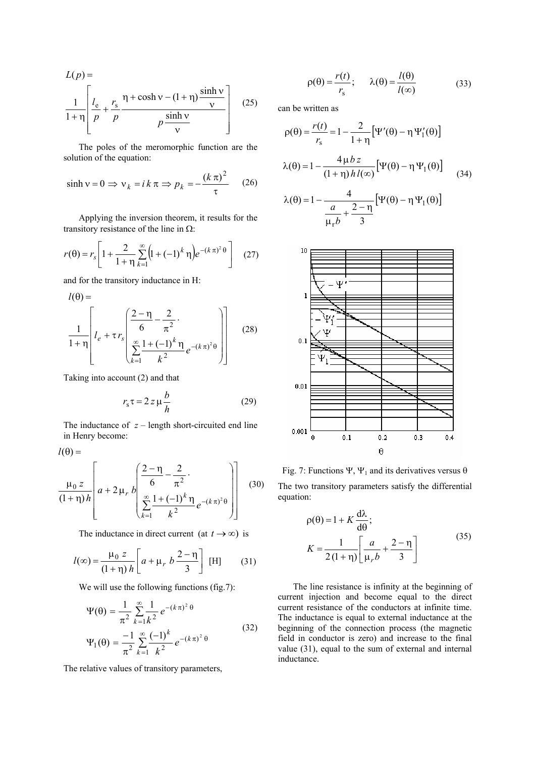$$
L(p) = \frac{1}{1+\eta} \left[ \frac{l_e}{p} + \frac{r_s}{p} \frac{\eta + \cosh \nu - (1+\eta) \frac{\sinh \nu}{\nu}}{p \frac{\sinh \nu}{\nu}} \right] \quad (25)
$$

 The poles of the meromorphic function are the solution of the equation:

$$
\sinh v = 0 \implies v_k = ik \pi \implies p_k = -\frac{(k \pi)^2}{\tau} \qquad (26)
$$

 Applying the inversion theorem, it results for the transitory resistance of the line in  $\Omega$ :

$$
r(\theta) = r_s \left[ 1 + \frac{2}{1 + \eta} \sum_{k=1}^{\infty} \left( 1 + (-1)^k \eta \right) e^{-(k \pi)^2 \theta} \right] \quad (27)
$$

and for the transitory inductance in H:

$$
l(\theta) = \frac{1}{1+\eta} \left[ l_e + \tau r_s \left( \frac{2-\eta}{6} - \frac{2}{\pi^2} \cdot \frac{2}{\sum_{k=1}^{\infty} \frac{1+(-1)^k \eta}{k^2} e^{-(k \pi)^2 \theta}} \right) \right]
$$
(28)

Taking into account (2) and that

$$
r_{\rm s}\tau = 2 z \mu \frac{b}{h} \tag{29}
$$

The inductance of  $z$  – length short-circuited end line in Henry become:

 $l(\theta) =$ 

$$
\frac{\mu_0 z}{(1+\eta)h} \left[ a + 2\mu_r b \left( \frac{\frac{2-\eta}{6} - \frac{2}{\pi^2}}{\sum_{k=1}^{\infty} \frac{1 + (-1)^k \eta}{k^2} e^{-(k\pi)^2 \theta}} \right) \right]
$$
(30)

The inductance in direct current (at  $t \to \infty$ ) is

$$
l(\infty) = \frac{\mu_0 z}{(1+\eta) h} \left[ a + \mu_r b \frac{2-\eta}{3} \right] \text{ [H]} \tag{31}
$$

We will use the following functions (fig.7):

$$
\Psi(\theta) = \frac{1}{\pi^2} \sum_{k=1}^{\infty} \frac{1}{k^2} e^{-(k\pi)^2 \theta}
$$
  

$$
\Psi_1(\theta) = \frac{-1}{\pi^2} \sum_{k=1}^{\infty} \frac{(-1)^k}{k^2} e^{-(k\pi)^2 \theta}
$$
 (32)

The relative values of transitory parameters,

$$
\rho(\theta) = \frac{r(t)}{r_s}; \qquad \lambda(\theta) = \frac{l(\theta)}{l(\infty)}\tag{33}
$$

can be written as

$$
\rho(\theta) = \frac{r(t)}{r_s} = 1 - \frac{2}{1+\eta} \left[ \Psi'(\theta) - \eta \Psi'_1(\theta) \right]
$$

$$
\lambda(\theta) = 1 - \frac{4\mu bz}{(1+\eta)h l(\infty)} \left[ \Psi(\theta) - \eta \Psi_1(\theta) \right] \tag{34}
$$

$$
\lambda(\theta) = 1 - \frac{4}{\frac{a}{\mu_r b} + \frac{2-\eta}{3}} \Big[ \Psi(\theta) - \eta \Psi_1(\theta) \Big]
$$



Fig. 7: Functions Ψ, Ψ<sub>1</sub> and its derivatives versus  $\theta$ The two transitory parameters satisfy the differential equation:

$$
\rho(\theta) = 1 + K \frac{d\lambda}{d\theta};
$$
  

$$
K = \frac{1}{2(1+\eta)} \left[ \frac{a}{\mu_r b} + \frac{2-\eta}{3} \right]
$$
 (35)

 The line resistance is infinity at the beginning of current injection and become equal to the direct current resistance of the conductors at infinite time. The inductance is equal to external inductance at the beginning of the connection process (the magnetic field in conductor is zero) and increase to the final value (31), equal to the sum of external and internal inductance.